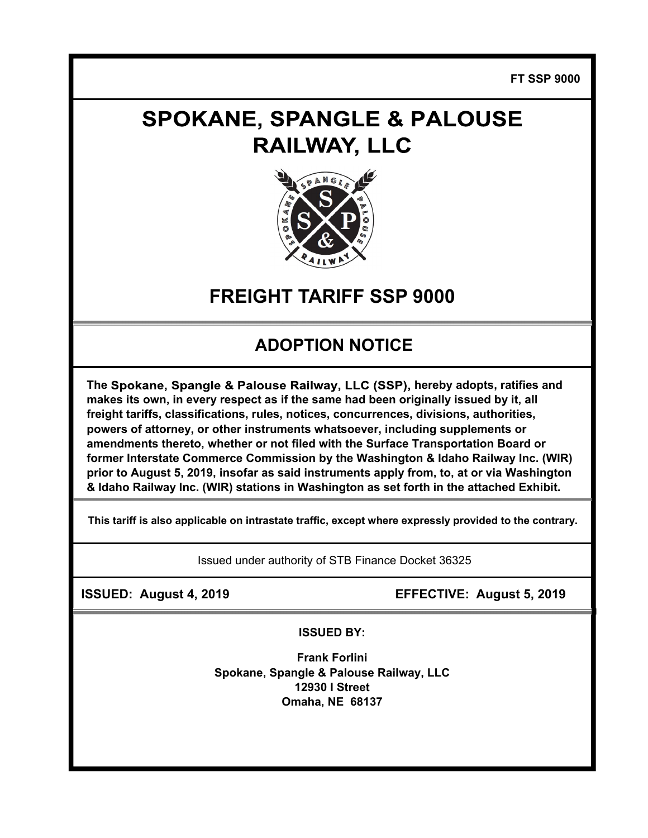**FT SSP 9000** 

# **SPOKANE, SPANGLE & PALOUSE RAILWAY, LLC**



## **FREIGHT TARIFF SSP 9000**

### **ADOPTION NOTICE**

The Spokane, Spangle & Palouse Railway, LLC (SSP), hereby adopts, ratifies and **makes its own, in every respect as if the same had been originally issued by it, all freight tariffs, classifications, rules, notices, concurrences, divisions, authorities, powers of attorney, or other instruments whatsoever, including supplements or amendments thereto, whether or not filed with the Surface Transportation Board or former Interstate Commerce Commission by the Washington & Idaho Railway Inc. (WIR) prior to August 5, 2019, insofar as said instruments apply from, to, at or via Washington & Idaho Railway Inc. (WIR) stations in Washington as set forth in the attached Exhibit.** 

**This tariff is also applicable on intrastate traffic, except where expressly provided to the contrary.** 

Issued under authority of STB Finance Docket 36325

 **ISSUED: August 4, 2019 EFFECTIVE: August 5, 2019** 

**ISSUED BY:** 

**Frank Forlini Spokane, Spangle & Palouse Railway, LLC 12930 I Street Omaha, NE 68137**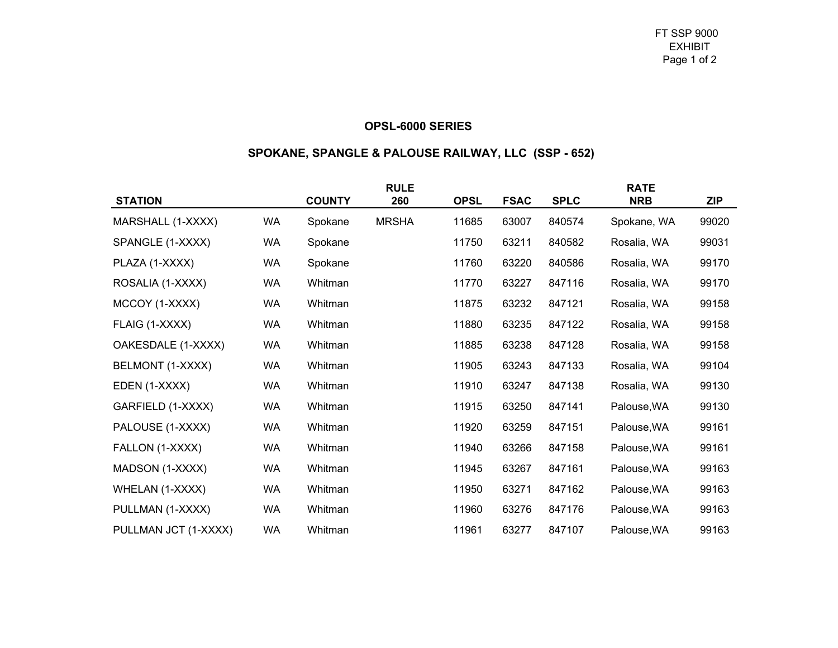#### **OPSL-6000 SERIES**

### **SPOKANE, SPANGLE & PALOUSE RAILWAY, LLC (SSP - 652)**

| <b>STATION</b>       |           | <b>COUNTY</b> | <b>RULE</b><br>260 | <b>OPSL</b> | <b>FSAC</b> | <b>SPLC</b> | <b>RATE</b><br><b>NRB</b> | <b>ZIP</b> |
|----------------------|-----------|---------------|--------------------|-------------|-------------|-------------|---------------------------|------------|
|                      |           |               |                    |             |             |             |                           |            |
| MARSHALL (1-XXXX)    | WA        | Spokane       | <b>MRSHA</b>       | 11685       | 63007       | 840574      | Spokane, WA               | 99020      |
| SPANGLE (1-XXXX)     | WA        | Spokane       |                    | 11750       | 63211       | 840582      | Rosalia, WA               | 99031      |
| PLAZA (1-XXXX)       | WA        | Spokane       |                    | 11760       | 63220       | 840586      | Rosalia, WA               | 99170      |
| ROSALIA (1-XXXX)     | WA        | Whitman       |                    | 11770       | 63227       | 847116      | Rosalia, WA               | 99170      |
| MCCOY (1-XXXX)       | WA        | Whitman       |                    | 11875       | 63232       | 847121      | Rosalia, WA               | 99158      |
| FLAIG (1-XXXX)       | WA        | Whitman       |                    | 11880       | 63235       | 847122      | Rosalia, WA               | 99158      |
| OAKESDALE (1-XXXX)   | WA        | Whitman       |                    | 11885       | 63238       | 847128      | Rosalia, WA               | 99158      |
| BELMONT (1-XXXX)     | WA        | Whitman       |                    | 11905       | 63243       | 847133      | Rosalia, WA               | 99104      |
| EDEN (1-XXXX)        | WA        | Whitman       |                    | 11910       | 63247       | 847138      | Rosalia, WA               | 99130      |
| GARFIELD (1-XXXX)    | WA        | Whitman       |                    | 11915       | 63250       | 847141      | Palouse, WA               | 99130      |
| PALOUSE (1-XXXX)     | <b>WA</b> | Whitman       |                    | 11920       | 63259       | 847151      | Palouse, WA               | 99161      |
| FALLON (1-XXXX)      | WA        | Whitman       |                    | 11940       | 63266       | 847158      | Palouse, WA               | 99161      |
| MADSON (1-XXXX)      | <b>WA</b> | Whitman       |                    | 11945       | 63267       | 847161      | Palouse, WA               | 99163      |
| WHELAN (1-XXXX)      | <b>WA</b> | Whitman       |                    | 11950       | 63271       | 847162      | Palouse, WA               | 99163      |
| PULLMAN (1-XXXX)     | WA        | Whitman       |                    | 11960       | 63276       | 847176      | Palouse, WA               | 99163      |
| PULLMAN JCT (1-XXXX) | WA        | Whitman       |                    | 11961       | 63277       | 847107      | Palouse, WA               | 99163      |